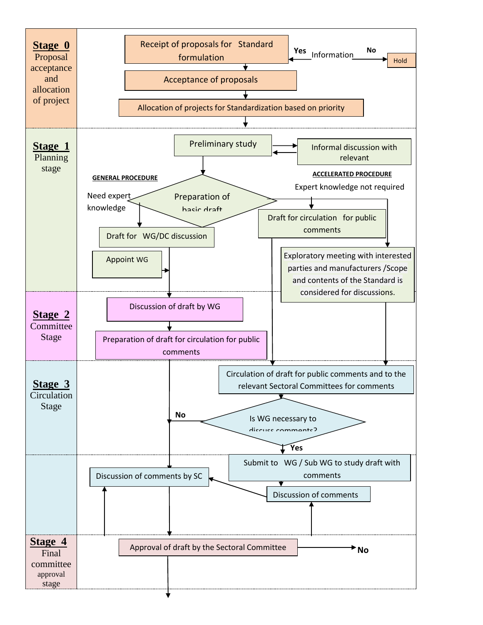